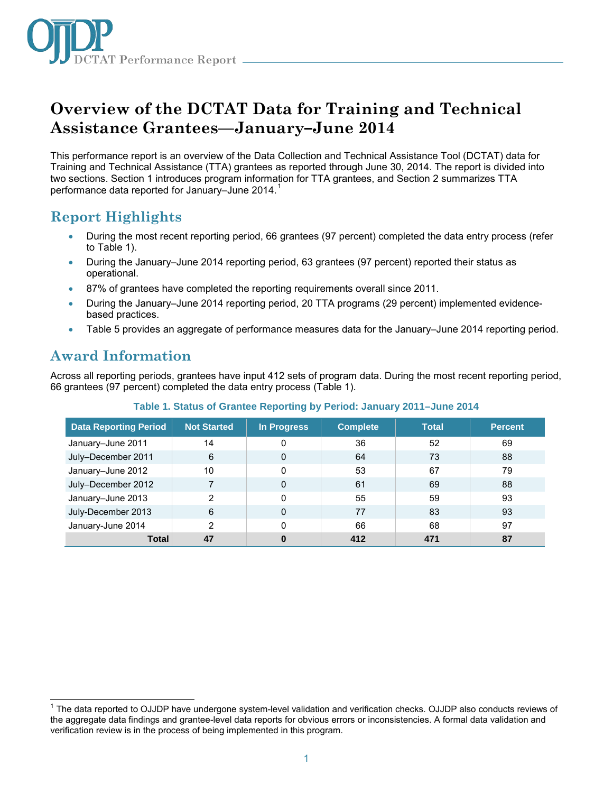

# **Overview of the DCTAT Data for Training and Technical Assistance Grantees—January–June 2014**

This performance report is an overview of the Data Collection and Technical Assistance Tool (DCTAT) data for Training and Technical Assistance (TTA) grantees as reported through June 30, 2014. The report is divided into two sections. Section 1 introduces program information for TTA grantees, and Section 2 summarizes TTA performance data reported for January–June 2014. [1](#page-0-0)

# **Report Highlights**

- During the most recent reporting period, 66 grantees (97 percent) completed the data entry process (refer to Table 1).
- During the January–June 2014 reporting period, 63 grantees (97 percent) reported their status as operational.
- 87% of grantees have completed the reporting requirements overall since 2011.
- During the January–June 2014 reporting period, 20 TTA programs (29 percent) implemented evidencebased practices.
- Table 5 provides an aggregate of performance measures data for the January–June 2014 reporting period.

### **Award Information**

 $\overline{\phantom{a}}$ 

Across all reporting periods, grantees have input 412 sets of program data. During the most recent reporting period, 66 grantees (97 percent) completed the data entry process (Table 1).

| <b>Data Reporting Period</b> | <b>Not Started</b> | In Progress  | <b>Complete</b> | <b>Total</b> | <b>Percent</b> |
|------------------------------|--------------------|--------------|-----------------|--------------|----------------|
| January-June 2011            | 14                 | 0            | 36              | 52           | 69             |
| July-December 2011           | 6                  | $\mathbf{0}$ | 64              | 73           | 88             |
| January-June 2012            | 10                 | $\mathbf{0}$ | 53              | 67           | 79             |
| July-December 2012           | 7                  | $\mathbf{0}$ | 61              | 69           | 88             |
| January-June 2013            | $\overline{2}$     | $\Omega$     | 55              | 59           | 93             |
| July-December 2013           | 6                  | $\mathbf{0}$ | 77              | 83           | 93             |
| January-June 2014            | 2                  | $\Omega$     | 66              | 68           | 97             |
| <b>Total</b>                 | 47                 | $\bf{0}$     | 412             | 471          | 87             |

#### **Table 1. Status of Grantee Reporting by Period: January 2011–June 2014**

<span id="page-0-0"></span><sup>&</sup>lt;sup>1</sup> The data reported to OJJDP have undergone system-level validation and verification checks. OJJDP also conducts reviews of the aggregate data findings and grantee-level data reports for obvious errors or inconsistencies. A formal data validation and verification review is in the process of being implemented in this program.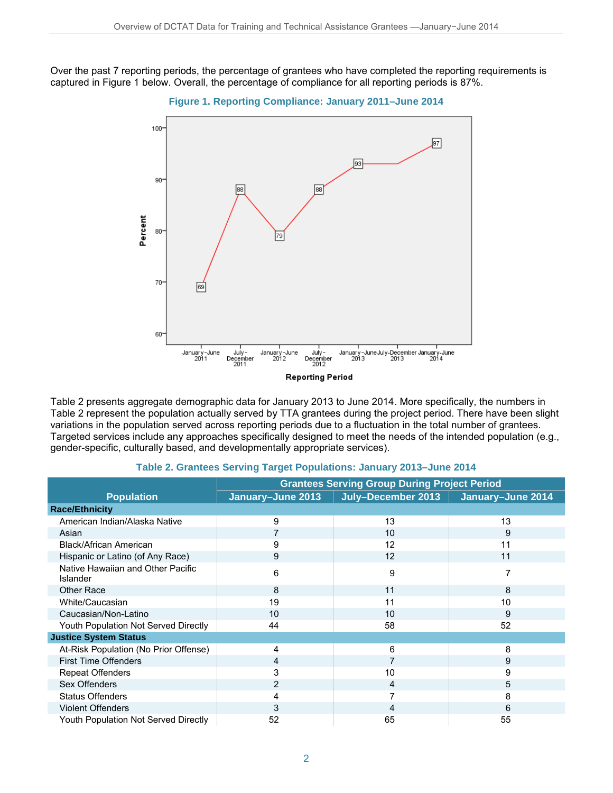Over the past 7 reporting periods, the percentage of grantees who have completed the reporting requirements is captured in Figure 1 below. Overall, the percentage of compliance for all reporting periods is 87%.





Table 2 presents aggregate demographic data for January 2013 to June 2014. More specifically, the numbers in Table 2 represent the population actually served by TTA grantees during the project period. There have been slight variations in the population served across reporting periods due to a fluctuation in the total number of grantees. Targeted services include any approaches specifically designed to meet the needs of the intended population (e.g., gender-specific, culturally based, and developmentally appropriate services).

|                                                      | <b>Grantees Serving Group During Project Period</b> |                                        |    |
|------------------------------------------------------|-----------------------------------------------------|----------------------------------------|----|
| <b>Population</b>                                    | January-June 2013                                   | July-December 2013   January-June 2014 |    |
| <b>Race/Ethnicity</b>                                |                                                     |                                        |    |
| American Indian/Alaska Native                        | 9                                                   | 13                                     | 13 |
| Asian                                                |                                                     | 10                                     | 9  |
| Black/African American                               | 9                                                   | 12                                     | 11 |
| Hispanic or Latino (of Any Race)                     | 9                                                   | 12                                     | 11 |
| Native Hawaiian and Other Pacific<br><b>Islander</b> | 6                                                   | 9                                      | 7  |
| <b>Other Race</b>                                    | 8                                                   | 11                                     | 8  |
| White/Caucasian                                      | 19                                                  | 11                                     | 10 |
| Caucasian/Non-Latino                                 | 10                                                  | 10                                     | 9  |
| Youth Population Not Served Directly                 | 44                                                  | 58                                     | 52 |
| <b>Justice System Status</b>                         |                                                     |                                        |    |
| At-Risk Population (No Prior Offense)                | 4                                                   | 6                                      | 8  |
| <b>First Time Offenders</b>                          | 4                                                   |                                        | 9  |
| <b>Repeat Offenders</b>                              | 3                                                   | 10                                     | 9  |
| Sex Offenders                                        | $\overline{2}$                                      | 4                                      | 5  |
| <b>Status Offenders</b>                              | 4                                                   | 7                                      | 8  |
| <b>Violent Offenders</b>                             | 3                                                   | 4                                      | 6  |
| Youth Population Not Served Directly                 | 52                                                  | 65                                     | 55 |

### **Table 2. Grantees Serving Target Populations: January 2013–June 2014**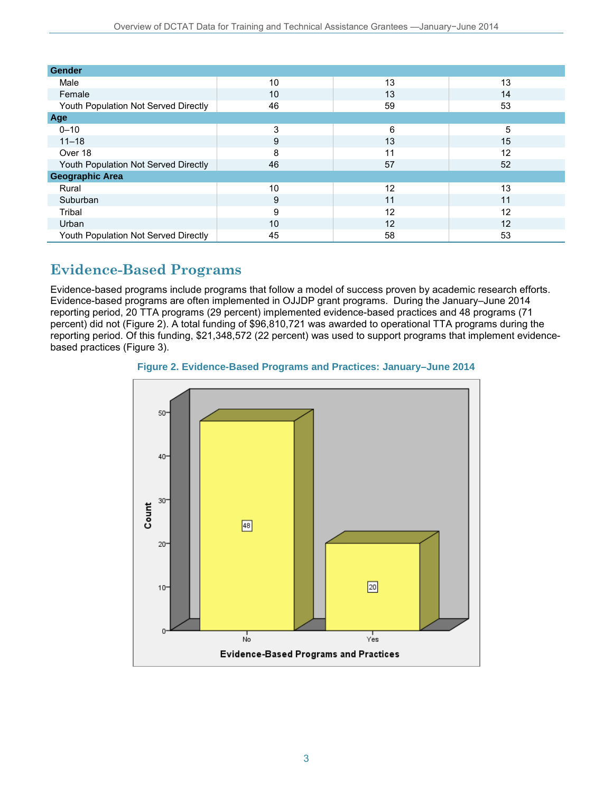| <b>Gender</b>                        |    |    |    |  |
|--------------------------------------|----|----|----|--|
| Male                                 | 10 | 13 | 13 |  |
| Female                               | 10 | 13 | 14 |  |
| Youth Population Not Served Directly | 46 | 59 | 53 |  |
| Age                                  |    |    |    |  |
| $0 - 10$                             | 3  | 6  | 5  |  |
| $11 - 18$                            | 9  | 13 | 15 |  |
| Over 18                              | 8  | 11 | 12 |  |
| Youth Population Not Served Directly | 46 | 57 | 52 |  |
| <b>Geographic Area</b>               |    |    |    |  |
| Rural                                | 10 | 12 | 13 |  |
| Suburban                             | 9  | 11 | 11 |  |
| Tribal                               | 9  | 12 | 12 |  |
| Urban                                | 10 | 12 | 12 |  |
| Youth Population Not Served Directly | 45 | 58 | 53 |  |

# **Evidence-Based Programs**

Evidence-based programs include programs that follow a model of success proven by academic research efforts. Evidence-based programs are often implemented in OJJDP grant programs. During the January–June 2014 reporting period, 20 TTA programs (29 percent) implemented evidence-based practices and 48 programs (71 percent) did not (Figure 2). A total funding of \$96,810,721 was awarded to operational TTA programs during the reporting period. Of this funding, \$21,348,572 (22 percent) was used to support programs that implement evidencebased practices (Figure 3).



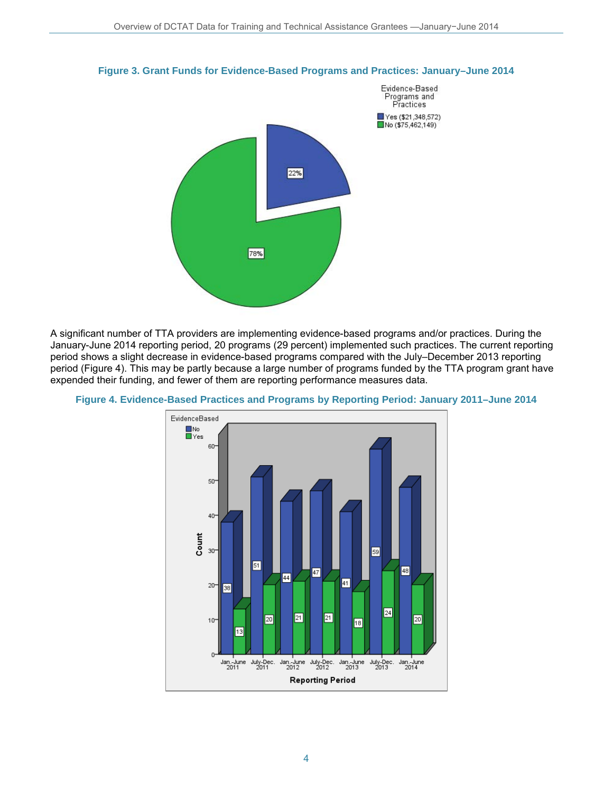

**Figure 3. Grant Funds for Evidence-Based Programs and Practices: January–June 2014**

A significant number of TTA providers are implementing evidence-based programs and/or practices. During the January-June 2014 reporting period, 20 programs (29 percent) implemented such practices. The current reporting period shows a slight decrease in evidence-based programs compared with the July–December 2013 reporting period (Figure 4). This may be partly because a large number of programs funded by the TTA program grant have expended their funding, and fewer of them are reporting performance measures data.



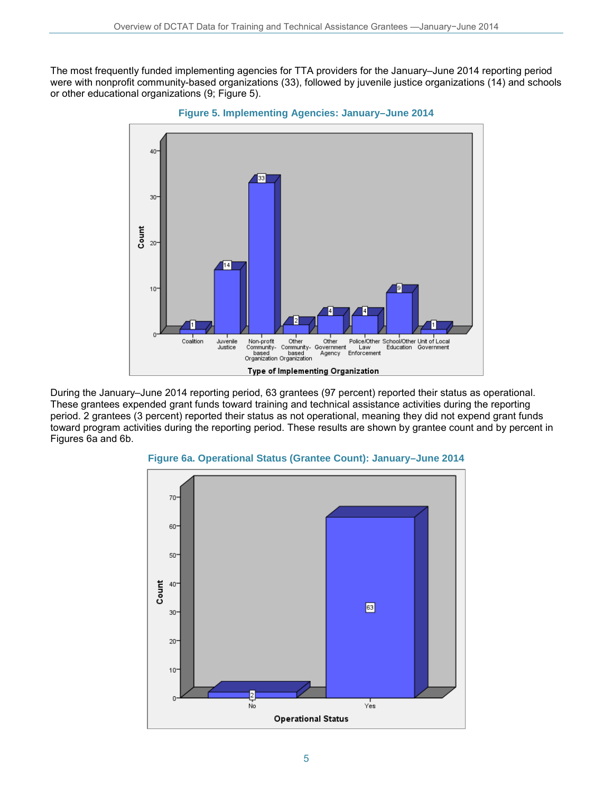The most frequently funded implementing agencies for TTA providers for the January–June 2014 reporting period were with nonprofit community-based organizations (33), followed by juvenile justice organizations (14) and schools or other educational organizations (9; Figure 5).



**Figure 5. Implementing Agencies: January–June 2014**

During the January–June 2014 reporting period, 63 grantees (97 percent) reported their status as operational. These grantees expended grant funds toward training and technical assistance activities during the reporting period. 2 grantees (3 percent) reported their status as not operational, meaning they did not expend grant funds toward program activities during the reporting period. These results are shown by grantee count and by percent in Figures 6a and 6b.



**Figure 6a. Operational Status (Grantee Count): January–June 2014**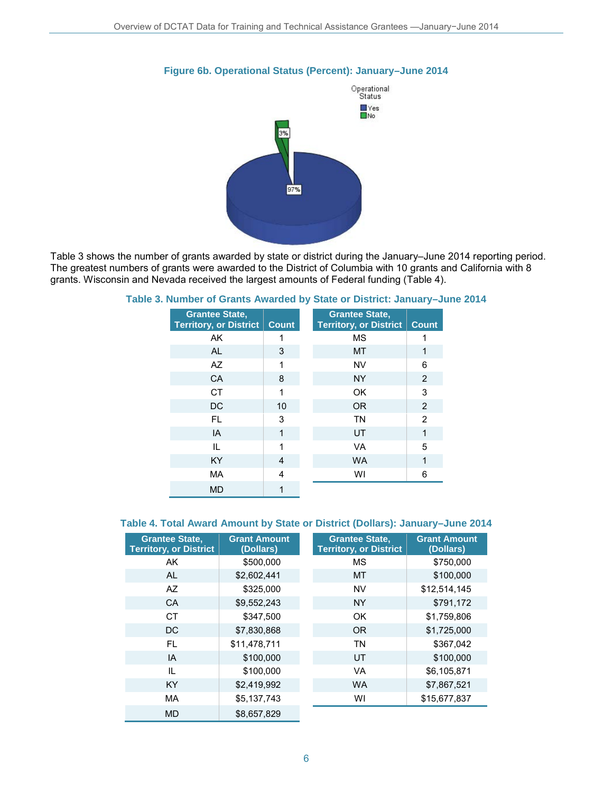

#### **Figure 6b. Operational Status (Percent): January–June 2014**

Table 3 shows the number of grants awarded by state or district during the January–June 2014 reporting period. The greatest numbers of grants were awarded to the District of Columbia with 10 grants and California with 8 grants. Wisconsin and Nevada received the largest amounts of Federal funding (Table 4).

| <b>Grantee State,</b><br><b>Territory, or District</b> | <b>Count</b> | <b>Grantee State,</b><br><b>Territory, or District</b> | <b>Count</b>   |
|--------------------------------------------------------|--------------|--------------------------------------------------------|----------------|
| AK                                                     | 1            | <b>MS</b>                                              |                |
| AL                                                     | 3            | MT                                                     | 1              |
| AZ                                                     | 1            | <b>NV</b>                                              | 6              |
| CA                                                     | 8            | <b>NY</b>                                              | 2              |
| <b>CT</b>                                              | 1            | OK                                                     | 3              |
| DC                                                     | 10           | <b>OR</b>                                              | 2              |
| FL.                                                    | 3            | <b>TN</b>                                              | $\overline{2}$ |
| IA                                                     | 1            | UT                                                     | 1              |
| IL                                                     | 1            | <b>VA</b>                                              | 5              |
| <b>KY</b>                                              | 4            | <b>WA</b>                                              | 1              |
| MA                                                     | 4            | WI                                                     | 6              |
| <b>MD</b>                                              |              |                                                        |                |

#### **Table 3. Number of Grants Awarded by State or District: January–June 2014**

### **Table 4. Total Award Amount by State or District (Dollars): January–June 2014**

| <b>Grantee State,</b><br><b>Territory, or District</b> | <b>Grant Amount</b><br>(Dollars) | <b>Grantee State,</b><br><b>Territory, or District</b> | <b>Grant Amount</b><br>(Dollars) |
|--------------------------------------------------------|----------------------------------|--------------------------------------------------------|----------------------------------|
| AK                                                     | \$500,000                        | <b>MS</b>                                              | \$750,000                        |
| <b>AL</b>                                              | \$2,602,441                      | MT                                                     | \$100,000                        |
| AZ                                                     | \$325,000                        | <b>NV</b>                                              | \$12,514,145                     |
| <b>CA</b>                                              | \$9,552,243                      | <b>NY</b>                                              | \$791,172                        |
| <b>CT</b>                                              | \$347,500                        | OK                                                     | \$1,759,806                      |
| <b>DC</b>                                              | \$7,830,868                      | <b>OR</b>                                              | \$1,725,000                      |
| FL.                                                    | \$11,478,711                     | <b>TN</b>                                              | \$367,042                        |
| IA                                                     | \$100,000                        | UT                                                     | \$100,000                        |
| IL                                                     | \$100,000                        | <b>VA</b>                                              | \$6,105,871                      |
| <b>KY</b>                                              | \$2,419,992                      | <b>WA</b>                                              | \$7,867,521                      |
| <b>MA</b>                                              | \$5,137,743                      | WI                                                     | \$15,677,837                     |
| <b>MD</b>                                              | \$8.657.829                      |                                                        |                                  |